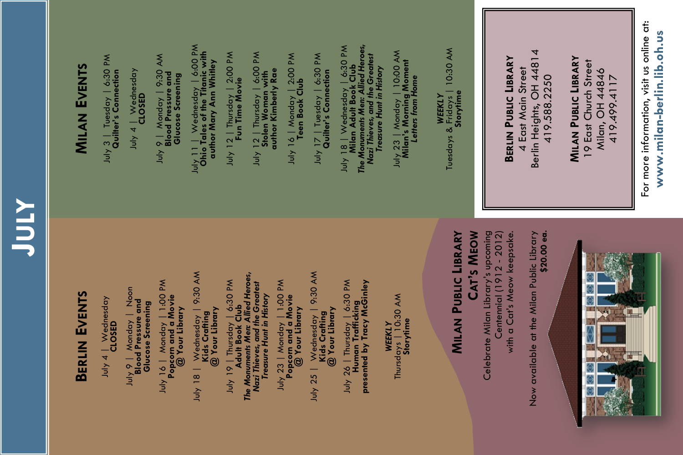# **JULY**

# **BERLIN EVENTS**

**MILAN EVENTS**

July 3 | Tuesday | 6:30 PM **Quilter's Connection** July 4 | Wednesday **CLOSED** 

July 3 | Tuesday | 6:30 PM<br>Quilter's Connection

July 9 | Monday | 9:30 AM **Blood Pressure and Glucose Screening** July 11 | Wednesday | 6:00 PM **Ohio Tales of the Titanic with author Mary Ann Whitley** July 12 | Thursday | 2:00 PM **Fun Time Movie** July 12 | Thursday | 6:00 PM **Stolen Woman with author Kimberly Rae** July 16 | Monday | 2:00 PM **Teen Book Club** July 17 | Tuesday | 6:30 PM **Quilter's Connection** July 18 | Wednesday | 6:30 PM **Milan Adult Book Club** *The Monuments Men: Allied Heroes, Nazi Thieves, and the Greatest Treasure Hunt in History*  July 23 | Monday | 10:00 AM

July 9 | Monday | 9:30 AM<br>**Blood Pressure and**<br>Glucose Screening

July 11 | Wednesday | 6:00 PM<br>**Ohio Tales of the Titanic with**<br>author Mary Ann Whitley

July 12 | Thursday | 6:00 PM<br>Stolen Woman with<br>author Kimberly Rae

July 16 | Monday | 2:00 PM<br>Teen Book Club

July 17 | Tuesday | 6:30 PM<br>Quilter's Connection

July 12 | Thursday | 2:00 PM

July 4 | Wednesday **CLOSED** 

Index - Notes 9 - No Apr July 9 | Monday | Noon<br>**Blood Pressure and Blood Pressure and**  Glucose Screening **Glucose Screening** July 16 | Monday | 1:00 PM<br>Popcorn and a Movie<br>@ Your Library July 16 | Monday | 1:00 PM **Popcorn and a Movie @ Your Library** July 18 | Wednesday | 9:30 AM<br>**Kids Crafting**<br>@ Your Library July 18 | Wednesday | 9:30 AM **@ Your Library Kids Crafting** 

*The Monuments Men: Allied Heroes,*  July 19 | Thursday | 6:30 PM<br>**Adult Book Club**<br>The Monuments Men: Allied Heroes, July 19 | Thursday | 6:30 PM Nazi Thieves, and the Greatest<br>Treasure Hunt in History *Nazi Thieves, and the Greatest Treasure Hunt in History*  **Adult Book Club**

⁄ 23 | Monday | 1:00 PM<br>Popcorn and a Movie<br>@ Your Library July 23 | Monday | 1:00 PM **Popcorn and a Movie @ Your Library** ήη

Wednesday | 9:30 AM<br>**Kids Crafting**<br>@ Your Library July 25 | Wednesday | 9:30 AM **@ Your Library Kids Crafting**  July  $25$ 

اسان کا در است کا است کا دار است Human Trafficking<br>Human Trafficking<br>presented by Tracy McGinley July 26 | Thursday | 6:30 PM **presented by Tracy McGinley Human Trafficking** 

July 18 | Wednesday | 6:30 PM<br>Milan Adult Book Club<br>The Monuments Men: Allied Heroes,<br>Nazi Thieves, and the Greatest

Treasure Hunt in History

*WEEKLY* **Storytime** Thursdays | 10:30 AM

**CAT'S MEOW MILAN PUBLIC LIBRARY MILAN PUBLIC LIBRARY**

 $J$ uly 23 | Monday | 10:00 AM<br>**Milan's Morning Moment**<br>Letters from Home **Milan's Morning Moment** *Letters from Home*

*WEEKLY* **Storytime** Tuesdays & Fridays | 10:30 AM

**BERLIN PUBLIC LIBRARY BERLIN PUBLIC LIBRARY**

Celebrate Milan Library's upcoming

Centennial (1912 - 2012) with a Cat's Meow keepsake.

with a Cat's Meow keepsake. Centennial (1912 - 2012)

Now available at the Milan Public Library

Now available at the Milan Public Library

**\$20.00 ea.**

4 East Main Street Berlin Heights, OH 44814 419.588.2250

4 East Main Street

Berlin Heights, OH 44814

**MILAN PUBLIC LIBRARY** 19 East Church Street Milan, OH 44846 419.499.4117

Milan, OH 44846

**MILAN PUBLIC LIBRARY** 19 East Church Street



For more information, visit us online at: For more information, visit us online at: **www.milan-berlin.lib.oh.us**  www.milan-berlin.lib.oh.us